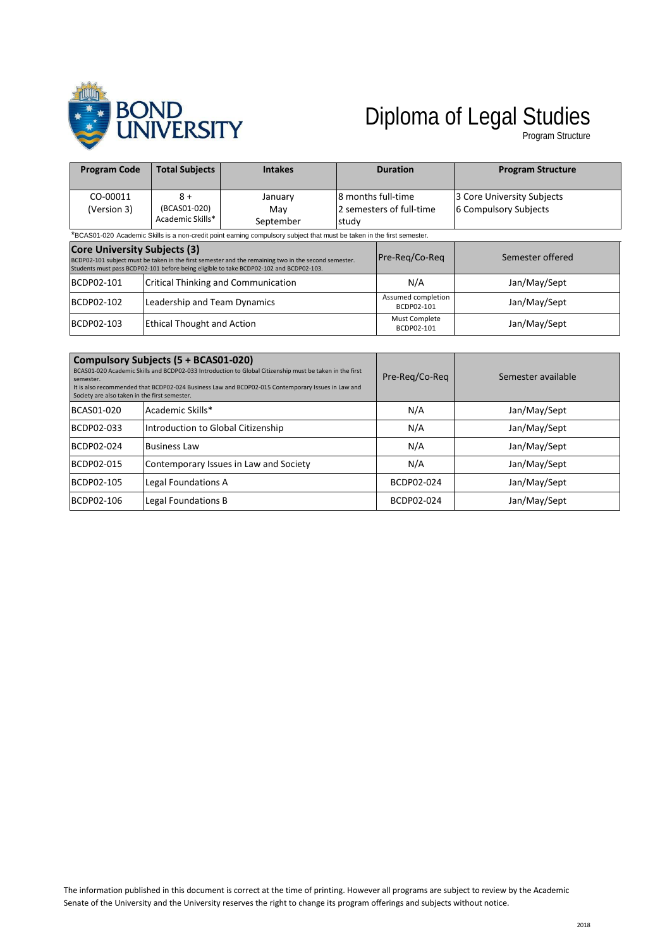

# Diploma of Legal Studies

Program Structure

| <b>Program Code</b>                                                                                                                                                                                                                   | <b>Total Subjects</b>                    | <b>Intakes</b>                             |                                                          | <b>Duration</b>                  | <b>Program Structure</b>                            |
|---------------------------------------------------------------------------------------------------------------------------------------------------------------------------------------------------------------------------------------|------------------------------------------|--------------------------------------------|----------------------------------------------------------|----------------------------------|-----------------------------------------------------|
| CO-00011<br>(Version 3)                                                                                                                                                                                                               | $8+$<br>(BCAS01-020)<br>Academic Skills* | January<br>Mav<br>September                | l8 months full-time<br>2 semesters of full-time<br>study |                                  | 3 Core University Subjects<br>6 Compulsory Subjects |
| *BCAS01-020 Academic Skills is a non-credit point earning compulsory subject that must be taken in the first semester.                                                                                                                |                                          |                                            |                                                          |                                  |                                                     |
| <b>Core University Subjects (3)</b><br>BCDP02-101 subject must be taken in the first semester and the remaining two in the second semester.<br>Students must pass BCDP02-101 before being eligible to take BCDP02-102 and BCDP02-103. |                                          | Pre-Reg/Co-Reg                             | Semester offered                                         |                                  |                                                     |
| BCDP02-101                                                                                                                                                                                                                            |                                          | <b>Critical Thinking and Communication</b> |                                                          | N/A                              | Jan/May/Sept                                        |
| BCDP02-102                                                                                                                                                                                                                            | Leadership and Team Dynamics             |                                            |                                                          | Assumed completion<br>BCDP02-101 | Jan/May/Sept                                        |
| BCDP02-103                                                                                                                                                                                                                            | <b>Ethical Thought and Action</b>        |                                            | Must Complete<br>BCDP02-101                              | Jan/May/Sept                     |                                                     |

| Compulsory Subjects (5 + BCAS01-020)<br>BCAS01-020 Academic Skills and BCDP02-033 Introduction to Global Citizenship must be taken in the first<br>semester.<br>It is also recommended that BCDP02-024 Business Law and BCDP02-015 Contemporary Issues in Law and<br>Society are also taken in the first semester. |                                        | Pre-Reg/Co-Reg | Semester available |
|--------------------------------------------------------------------------------------------------------------------------------------------------------------------------------------------------------------------------------------------------------------------------------------------------------------------|----------------------------------------|----------------|--------------------|
| BCAS01-020                                                                                                                                                                                                                                                                                                         | Academic Skills*                       | N/A            | Jan/May/Sept       |
| BCDP02-033                                                                                                                                                                                                                                                                                                         | Introduction to Global Citizenship     | N/A            | Jan/May/Sept       |
| BCDP02-024                                                                                                                                                                                                                                                                                                         | <b>Business Law</b>                    | N/A            | Jan/May/Sept       |
| BCDP02-015                                                                                                                                                                                                                                                                                                         | Contemporary Issues in Law and Society | N/A            | Jan/May/Sept       |
| BCDP02-105                                                                                                                                                                                                                                                                                                         | Legal Foundations A                    | BCDP02-024     | Jan/May/Sept       |
| BCDP02-106                                                                                                                                                                                                                                                                                                         | Legal Foundations B                    | BCDP02-024     | Jan/May/Sept       |